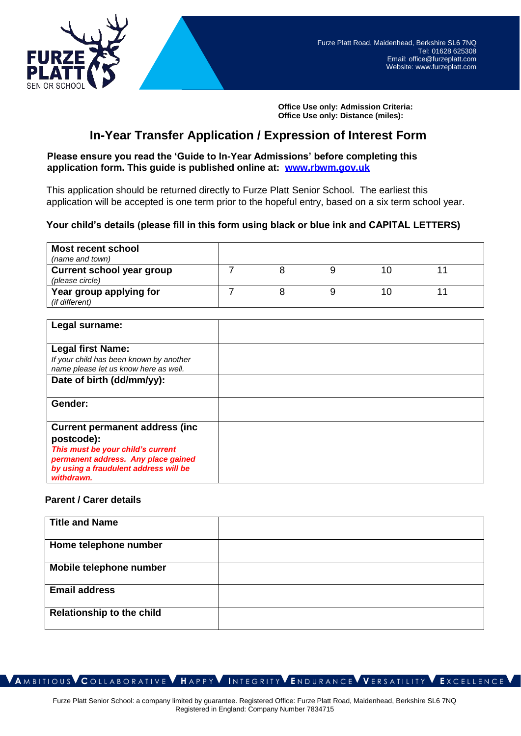

**Office Use only: Admission Criteria: Office Use only: Distance (miles):**

# **In-Year Transfer Application / Expression of Interest Form**

## **Please ensure you read the 'Guide to In-Year [Admissions' before completing t](http://www.rbwm.gov.uk/)his application form. This guide is published online at: [www.rbwm.gov.uk](http://www.rbwm.gov.uk/)**

This application should be returned directly to Furze Platt Senior School. The earliest this application will be accepted is one term prior to the hopeful entry, based on a six term school year.

## **Your child's details (please fill in this form using black or blue ink and CAPITAL LETTERS)**

| <b>Most recent school</b>        |  |  |  |
|----------------------------------|--|--|--|
| (name and town)                  |  |  |  |
| <b>Current school year group</b> |  |  |  |
| (please circle)                  |  |  |  |
| Year group applying for          |  |  |  |
| (if different)                   |  |  |  |
|                                  |  |  |  |

| Legal surname:                                                                                                                                                                          |  |
|-----------------------------------------------------------------------------------------------------------------------------------------------------------------------------------------|--|
| <b>Legal first Name:</b><br>If your child has been known by another<br>name please let us know here as well.                                                                            |  |
| Date of birth (dd/mm/yy):                                                                                                                                                               |  |
| Gender:                                                                                                                                                                                 |  |
| <b>Current permanent address (inc.</b><br>postcode):<br>This must be your child's current<br>permanent address. Any place gained<br>by using a fraudulent address will be<br>withdrawn. |  |

#### **Parent / Carer details**

| <b>Title and Name</b>            |  |
|----------------------------------|--|
| Home telephone number            |  |
| Mobile telephone number          |  |
| <b>Email address</b>             |  |
| <b>Relationship to the child</b> |  |

**A** M B I T I O U S **C** O L L A B O R A T I V E **H** A P P Y **I** N T E G R I T Y **E** N D U R A N C E **V** E R S A T I L I T Y **E** X C E L L E N C E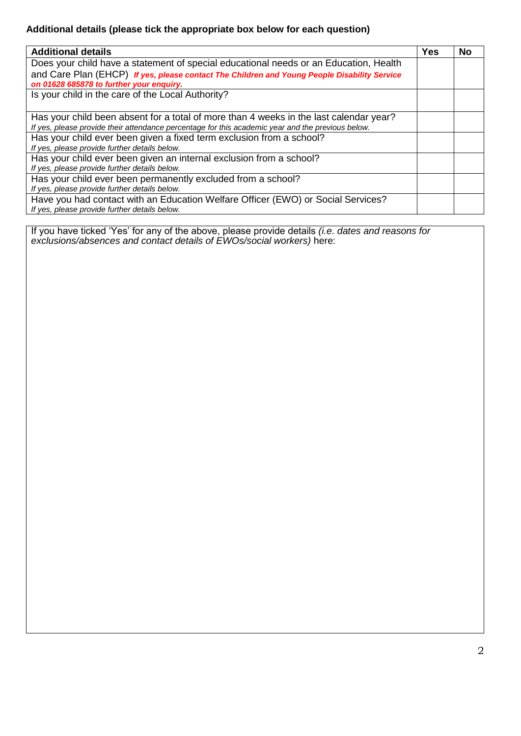## **Additional details (please tick the appropriate box below for each question)**

| <b>Additional details</b>                                                                         | Yes | No |
|---------------------------------------------------------------------------------------------------|-----|----|
| Does your child have a statement of special educational needs or an Education, Health             |     |    |
| and Care Plan (EHCP) If yes, please contact The Children and Young People Disability Service      |     |    |
| on 01628 685878 to further your enquiry.                                                          |     |    |
| Is your child in the care of the Local Authority?                                                 |     |    |
|                                                                                                   |     |    |
| Has your child been absent for a total of more than 4 weeks in the last calendar year?            |     |    |
| If yes, please provide their attendance percentage for this academic year and the previous below. |     |    |
| Has your child ever been given a fixed term exclusion from a school?                              |     |    |
| If yes, please provide further details below.                                                     |     |    |
| Has your child ever been given an internal exclusion from a school?                               |     |    |
| If yes, please provide further details below.                                                     |     |    |
| Has your child ever been permanently excluded from a school?                                      |     |    |
| If yes, please provide further details below.                                                     |     |    |
| Have you had contact with an Education Welfare Officer (EWO) or Social Services?                  |     |    |
| If yes, please provide further details below.                                                     |     |    |

If you have ticked 'Yes' for any of the above, please provide details *(i.e. dates and reasons for exclusions/absences and contact details of EWOs/social workers)* here: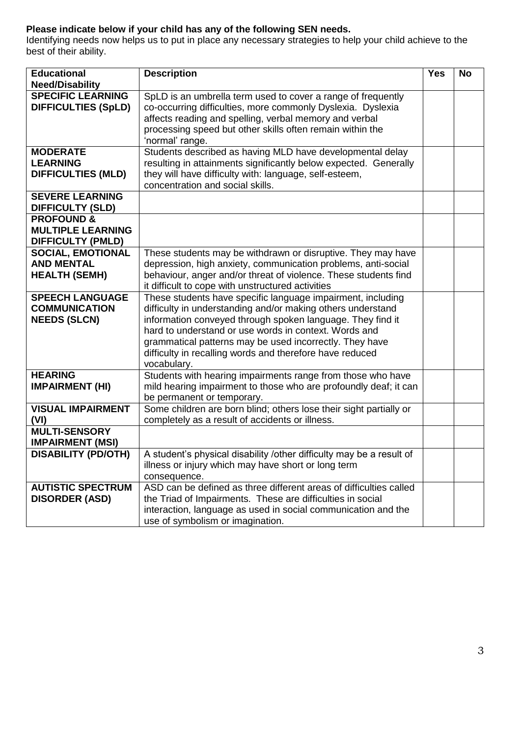## **Please indicate below if your child has any of the following SEN needs.**

Identifying needs now helps us to put in place any necessary strategies to help your child achieve to the best of their ability.

| <b>Educational</b><br><b>Need/Disability</b>                                  | <b>Description</b>                                                                                                                                                                                                                                                                                                                                                                      | <b>Yes</b> | <b>No</b> |
|-------------------------------------------------------------------------------|-----------------------------------------------------------------------------------------------------------------------------------------------------------------------------------------------------------------------------------------------------------------------------------------------------------------------------------------------------------------------------------------|------------|-----------|
| <b>SPECIFIC LEARNING</b><br><b>DIFFICULTIES (SpLD)</b>                        | SpLD is an umbrella term used to cover a range of frequently<br>co-occurring difficulties, more commonly Dyslexia. Dyslexia<br>affects reading and spelling, verbal memory and verbal<br>processing speed but other skills often remain within the<br>'normal' range.                                                                                                                   |            |           |
| <b>MODERATE</b><br><b>LEARNING</b><br><b>DIFFICULTIES (MLD)</b>               | Students described as having MLD have developmental delay<br>resulting in attainments significantly below expected. Generally<br>they will have difficulty with: language, self-esteem,<br>concentration and social skills.                                                                                                                                                             |            |           |
| <b>SEVERE LEARNING</b><br><b>DIFFICULTY (SLD)</b>                             |                                                                                                                                                                                                                                                                                                                                                                                         |            |           |
| <b>PROFOUND &amp;</b><br><b>MULTIPLE LEARNING</b><br><b>DIFFICULTY (PMLD)</b> |                                                                                                                                                                                                                                                                                                                                                                                         |            |           |
| <b>SOCIAL, EMOTIONAL</b><br><b>AND MENTAL</b><br><b>HEALTH (SEMH)</b>         | These students may be withdrawn or disruptive. They may have<br>depression, high anxiety, communication problems, anti-social<br>behaviour, anger and/or threat of violence. These students find<br>it difficult to cope with unstructured activities                                                                                                                                   |            |           |
| <b>SPEECH LANGUAGE</b><br><b>COMMUNICATION</b><br><b>NEEDS (SLCN)</b>         | These students have specific language impairment, including<br>difficulty in understanding and/or making others understand<br>information conveyed through spoken language. They find it<br>hard to understand or use words in context. Words and<br>grammatical patterns may be used incorrectly. They have<br>difficulty in recalling words and therefore have reduced<br>vocabulary. |            |           |
| <b>HEARING</b><br><b>IMPAIRMENT (HI)</b>                                      | Students with hearing impairments range from those who have<br>mild hearing impairment to those who are profoundly deaf; it can<br>be permanent or temporary.                                                                                                                                                                                                                           |            |           |
| <b>VISUAL IMPAIRMENT</b><br>(VI)                                              | Some children are born blind; others lose their sight partially or<br>completely as a result of accidents or illness.                                                                                                                                                                                                                                                                   |            |           |
| <b>MULTI-SENSORY</b><br><b>IMPAIRMENT (MSI)</b>                               |                                                                                                                                                                                                                                                                                                                                                                                         |            |           |
| <b>DISABILITY (PD/OTH)</b>                                                    | A student's physical disability /other difficulty may be a result of<br>illness or injury which may have short or long term<br>consequence.                                                                                                                                                                                                                                             |            |           |
| <b>AUTISTIC SPECTRUM</b><br><b>DISORDER (ASD)</b>                             | ASD can be defined as three different areas of difficulties called<br>the Triad of Impairments. These are difficulties in social<br>interaction, language as used in social communication and the<br>use of symbolism or imagination.                                                                                                                                                   |            |           |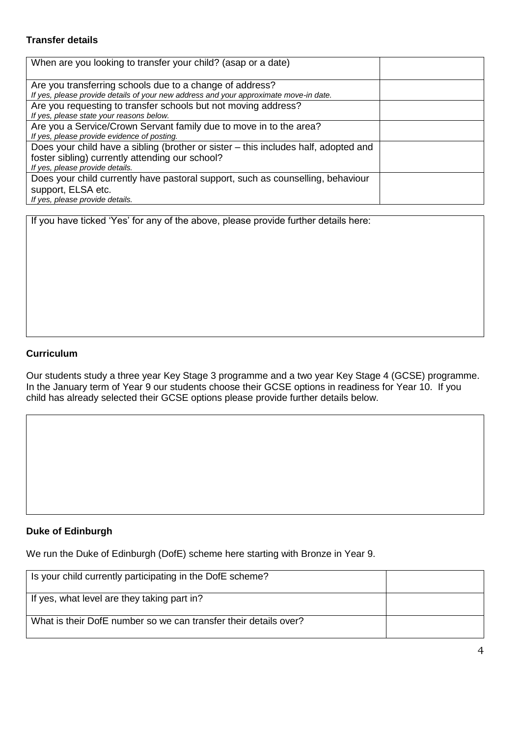## **Transfer details**

| When are you looking to transfer your child? (asap or a date)                                                                                                             |  |
|---------------------------------------------------------------------------------------------------------------------------------------------------------------------------|--|
| Are you transferring schools due to a change of address?<br>If yes, please provide details of your new address and your approximate move-in date.                         |  |
| Are you requesting to transfer schools but not moving address?<br>If yes, please state your reasons below.                                                                |  |
| Are you a Service/Crown Servant family due to move in to the area?<br>If yes, please provide evidence of posting.                                                         |  |
| Does your child have a sibling (brother or sister – this includes half, adopted and<br>foster sibling) currently attending our school?<br>If yes, please provide details. |  |
| Does your child currently have pastoral support, such as counselling, behaviour<br>support, ELSA etc.<br>If yes, please provide details.                                  |  |

If you have ticked 'Yes' for any of the above, please provide further details here:

#### **Curriculum**

Our students study a three year Key Stage 3 programme and a two year Key Stage 4 (GCSE) programme. In the January term of Year 9 our students choose their GCSE options in readiness for Year 10. If you child has already selected their GCSE options please provide further details below.

## **Duke of Edinburgh**

We run the Duke of Edinburgh (DofE) scheme here starting with Bronze in Year 9.

| Is your child currently participating in the DofE scheme?        |  |
|------------------------------------------------------------------|--|
| If yes, what level are they taking part in?                      |  |
| What is their DofE number so we can transfer their details over? |  |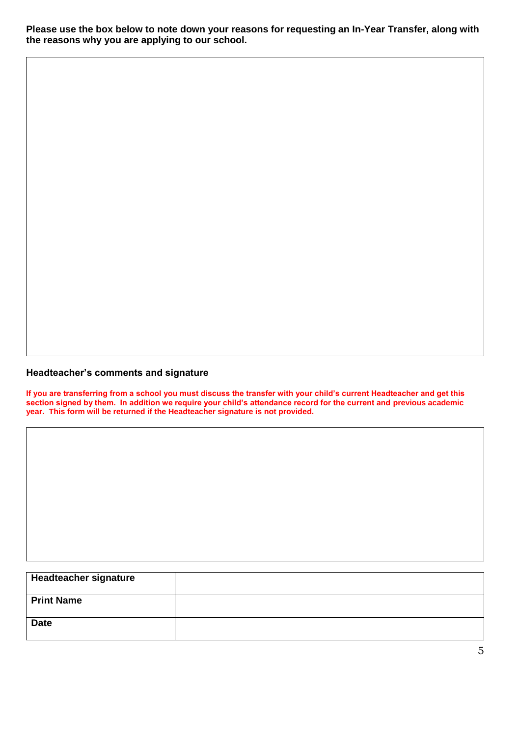**Please use the box below to note down your reasons for requesting an In-Year Transfer, along with the reasons why you are applying to our school.**

## **Headteacher's comments and signature**

**If you are transferring from a school you must discuss the transfer with your child's current Headteacher and get this section signed by them. In addition we require your child's attendance record for the current and previous academic year. This form will be returned if the Headteacher signature is not provided.**

| <b>Headteacher signature</b> |  |
|------------------------------|--|
| <b>Print Name</b>            |  |
|                              |  |
| <b>Date</b>                  |  |
|                              |  |